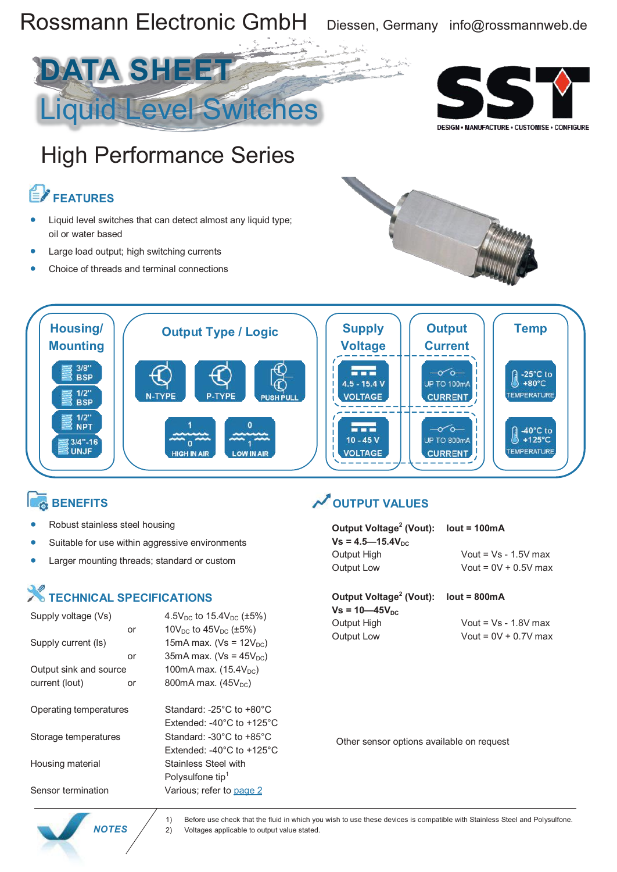

- Suitable for use within aggressive environments
- Larger mounting threads; standard or custom

### **X** TECHNICAL SPECIFICATIONS

| Supply voltage (Vs)    |    | 4.5 $V_{DC}$ to 15.4 $V_{DC}$ (±5%)             |
|------------------------|----|-------------------------------------------------|
|                        | or | 10 $V_{DC}$ to 45 $V_{DC}$ (±5%)                |
| Supply current (ls)    |    | 15mA max. ( $Vs = 12V_{DC}$ )                   |
|                        | or | 35mA max. ( $Vs = 45V_{DC}$ )                   |
| Output sink and source |    | 100mA max. $(15.4V_{DC})$                       |
| current (lout)         | or | 800mA max. $(45V_{nc})$                         |
|                        |    |                                                 |
| Operating temperatures |    | Standard: -25°C to +80°C                        |
|                        |    | Extended: -40 $^{\circ}$ C to +125 $^{\circ}$ C |
| Storage temperatures   |    | Standard: -30 $^{\circ}$ C to +85 $^{\circ}$ C  |
|                        |    | Extended: -40 $^{\circ}$ C to +125 $^{\circ}$ C |
| Housing material       |    | Stainless Steel with                            |
|                        |    | Polysulfone tip <sup>1</sup>                    |
| Sensor termination     |    | Various; refer to page 2                        |

| Output Voltage <sup>2</sup> (Vout): $Iout = 100mA$ |                        |
|----------------------------------------------------|------------------------|
| $Vs = 4.5 - 15.4V_{DC}$                            |                        |
| Output High                                        | Vout = $Vs - 1.5V$ max |
| Output Low                                         | Vout = $0V + 0.5V$ max |
|                                                    |                        |

### **Output Voltage 2 (Vout): lout = 800mA**

 $Vs = 10 - 45V_{DC}$ 

Output High Vout = Vs - 1.8V max Output Low Vout = 0V + 0.7V max

Other sensor options available on request



1) Before use check that the fluid in which you wish to use these devices is compatible with Stainless Steel and Polysulfone. **NOTES** 2) Voltages applicable to output value stated.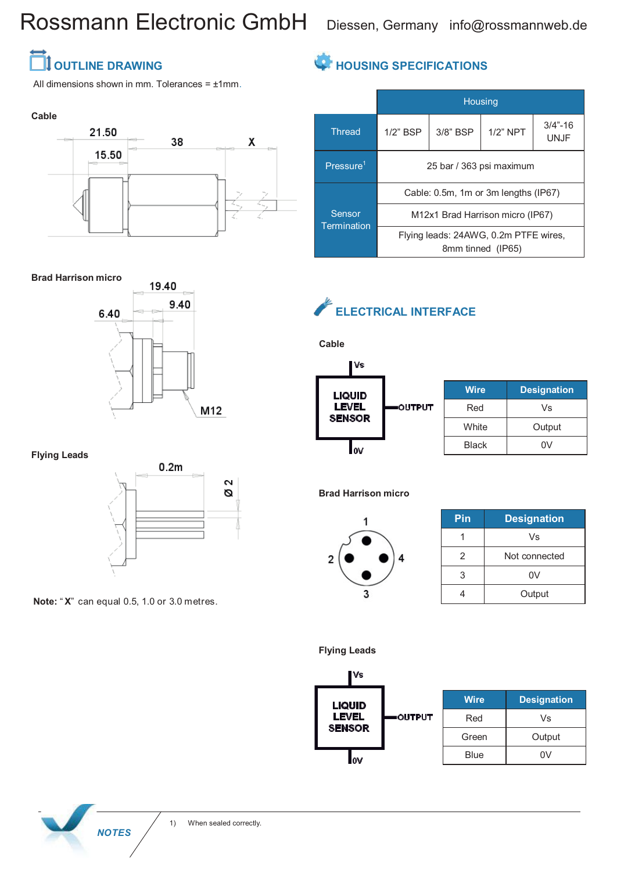## Rossmann Electronic GmbH Diessen, Germany info@rossmannweb.de

### *<u>I</u>* OUTLINE DRAWING

All dimensions shown in mm. Tolerances =  $±1$ mm.

### **Cable**



#### **Brad Harrison micro**



**Flying Leads**



**Note:** " **X**" can equal 0.5, 1.0 or 3.0 metres.

### **HOUSING SPECIFICATIONS**

|                       | <b>Housing</b>                                             |             |             |                            |
|-----------------------|------------------------------------------------------------|-------------|-------------|----------------------------|
| <b>Thread</b>         | $1/2$ " BSP                                                | $3/8$ " BSP | $1/2$ " NPT | $3/4" - 16$<br><b>UNJF</b> |
| Pressure <sup>1</sup> | 25 bar / 363 psi maximum                                   |             |             |                            |
|                       | Cable: 0.5m, 1m or 3m lengths (IP67)                       |             |             |                            |
| Sensor<br>Termination | M12x1 Brad Harrison micro (IP67)                           |             |             |                            |
|                       | Flying leads: 24AWG, 0.2m PTFE wires,<br>8mm tinned (IP65) |             |             |                            |

### **ELECTRICAL INTERFACE**



**Cable**

| Wire  | <b>Designation</b> |
|-------|--------------------|
| Red   | Vs                 |
| White | Output             |
| Black | ۵V                 |

**Brad Harrison micro**



| Pin | <b>Designation</b> |
|-----|--------------------|
|     | Vs                 |
| 2   | Not connected      |
| З   | 0V                 |
|     | Output             |

**Flying Leads**



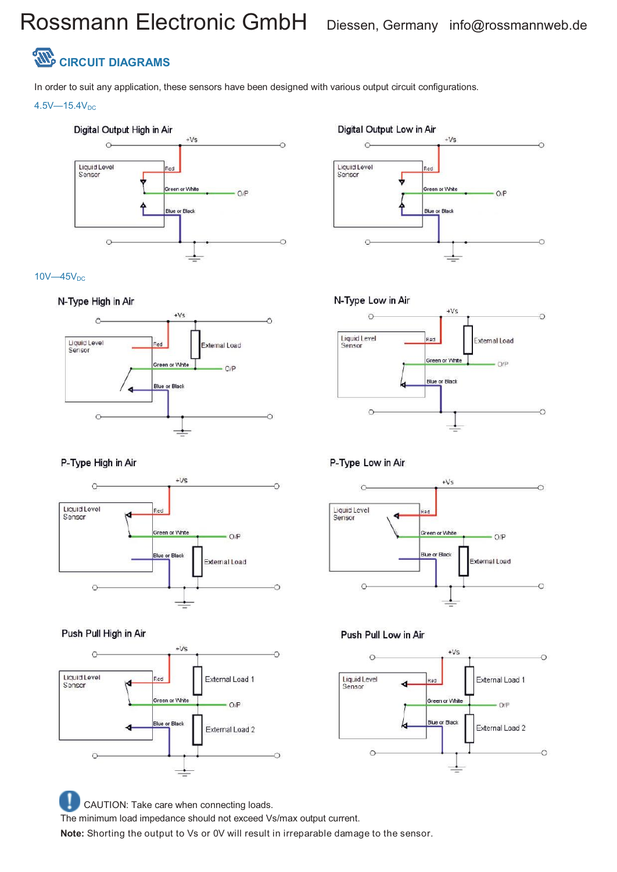### Rossmann Electronic GmbH Diessen, Germany info@rossmannweb.de



In order to suit any application, these sensors have been designed with various output circuit configurations.

#### $4.5V - 15.4V_{DC}$







#### P-Type High in Air



#### Push Pull High in Air



CAUTION: Take care when connecting loads. The minimum load impedance should not exceed Vs/max output current. **Note:** Shorting the output to Vs or 0V will result in irreparable damage to the sensor.





#### P-Type Low in Air



#### Push Pull Low in Air